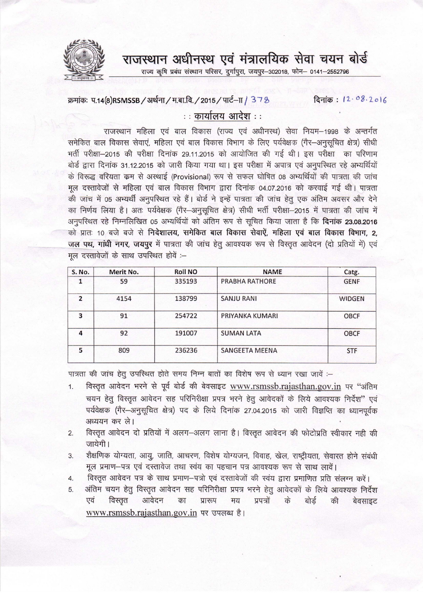राजस्थान अधीनस्थ एवं मंत्रालयिक सेवा चयन बोर्ड

राज्य कृषि प्रबंध संस्थान परिसर, दुर्गापुरा, जयपुर-302018, फोन- 0141-2552796

## क्रमांकः प.14(8)RSMSSB / अर्थना / म.बा.वि. / 2015 / पार्ट-IT / 378 दिनांक: 12.08.2016

## $\cdots$  कार्यालय आदेश $\cdots$

राजस्थान महिला एवं बाल विकास (राज्य एवं अधीनस्थ) सेवा नियम—1998 के अन्तर्गत xiजस्थान माहला एव बाल विकास (राज्य एव अधानस्थ) सवा नियम—1998 के अन्तगत<br>समेकित बाल विकास सेवाएं, महिला एवं बाल विकास विभाग के लिए पर्यवेक्षक (गैर—अनुसूचित क्षेत्र) सीर्ध भर्ती परीक्षा-2015 की परीक्षा दिनांक 29.11.2015 को आयोजित की गई थी। इस परीक्षा का परिणाम बोर्ड द्वारा दिनांक 31.12.2015 को जारी किया गया था। इस परीक्षा में अपात्र एवं अनुपरिथत रहे अभ्यर्थियों के विरूद्ध वरियता कम से अस्थाई (Provisional) रूप से सफल घोषित 08 अभ्यर्थियों की पात्रता की जांच मूल दस्तावेजों से महिला एवं बाल विकास विभाग द्वारा दिनांक 04.07.2016 को करवाई गई थी। पात्रता की जांच में 05 अभ्यर्थी अनुपरिथत रहे हैं। बोर्ड ने इन्हें पात्रता की जांच हेतु एक अंतिम अवसर और देने का निर्णय लिया है। अतः पर्यवेक्षक (गैर-अनुसूचित क्षेत्र) सीधी भर्ती परीक्षा-2015 में पात्रता की जांच में अनुपरिश्चत रहे निम्नलिखित 05 अभ्यर्थियों को अंतिम रूप से सूचित किया जाता है कि **दिनांक 23.08.2016** को प्रातः 10 बजे बजे से **निदेशालय, समेकित बाल विकास सेवाऐं, महिला एवं बाल विकास विभाग, 2,** जल पथ, गांधी नगर, जयपूर में पात्रता की जांच हेतू आवश्यक रूप से विस्तृत आवेदन (दो प्रतियों में) एवं जल पद्य, गांवा गगर, जयपुर न पात्रता<br>मूल दस्तावेजों के साथ उपस्थित होवें :-

| <b>S. No.</b>  | Merit No. | <b>Roll NO</b> | <b>NAME</b>           | Catg.         |
|----------------|-----------|----------------|-----------------------|---------------|
|                | 59        | 335193         | PRABHA RATHORE        | <b>GENF</b>   |
| $\overline{2}$ | 4154      | 138799         | <b>SANJU RANI</b>     | <b>WIDGEN</b> |
| 3              | 91        | 254722         | PRIYANKA KUMARI       | <b>OBCF</b>   |
| 4              | 92        | 191007         | <b>SUMAN LATA</b>     | <b>OBCF</b>   |
| 5              | 809       | 236236         | <b>SANGEETA MEENA</b> | <b>STF</b>    |

पात्रता की जांच हेतू उपस्थित होते समय निम्न बातों का विशेष रूप से ध्यान रखा जावें :--

- 1. विस्तृत आवेदन भरने से पूर्व बोर्ड की बेवसाइट [www.rsmssb.rajasthan.gov.in](http://www.rsmssb.rajasthan.gov.in) पर "अंतिम चयन हेतु विस्तृत आवेदन सह परिनिरीक्षा प्रपत्र भरने हेतु आवेदकों के लिये आवश्यक निर्देश" एवं चवन ह्यु विस्तृत आपदन सह पारानराता प्रपत्र नरन ह्यु आपदका के लिय आपश्यक निदेश एर<br>पर्यवेक्षक (गैर–अनुसूचित क्षेत्र) पद के लिये दिनांक 27.04.2015 को जारी विज्ञप्ति का ध्यानपूर्वव अध्ययन कर ले।
- 2. विस्तृत आवेदन दो प्रतियों में अलग-अलग लाना है। विस्तृत आवेदन की फोटोप्रति स्वीकार नही की जायेगी।
- 3. शैक्षणिक योग्यता, आयु, जाति, आचरण, विशेष योग्यजन, विवाह, खेल, राष्ट्रीयता, सेवारत होने संबंधी मूल प्रमाण-पत्र एवं दस्तावेज तथा स्वंय का पहचान पत्र आवश्यक रूप से साथ लावें।
- मूल प्रमाण—पत्र एव दस्तावज तथा स्वयं का पहचान पत्र आवश्यक रूप स साथ लाव।<br>4. विस्तृत आवेदन पत्र के साथ प्रमाण—पत्रो एवं दस्तावेजों की स्वंय द्वारा प्रमाणित प्रति संलग्न करें।
- 4. ।वस्तृत आवदन पत्र क साथ प्रमाण—पत्रा एवं दस्तावजा का स्वयं द्वारा प्रमाणित प्रांत सलग्न करें।<br>5. अंतिम चयन हेतु विस्तृत आवेदन सह परिनिरीक्षा प्रपत्र भरने हेतु आवेदकों के लिये आवश्यक निर्देश<br>एवं विस्तृत आवेदन एवं विस्तृत आवेदन का प्रारूप मय प्रपत्रों  $\overrightarrow{ab}$ [www.rsmssb.rajasthan.gov.in](http://www.rsmssb.rajasthan.gov.in) पर उपलब्ध है।